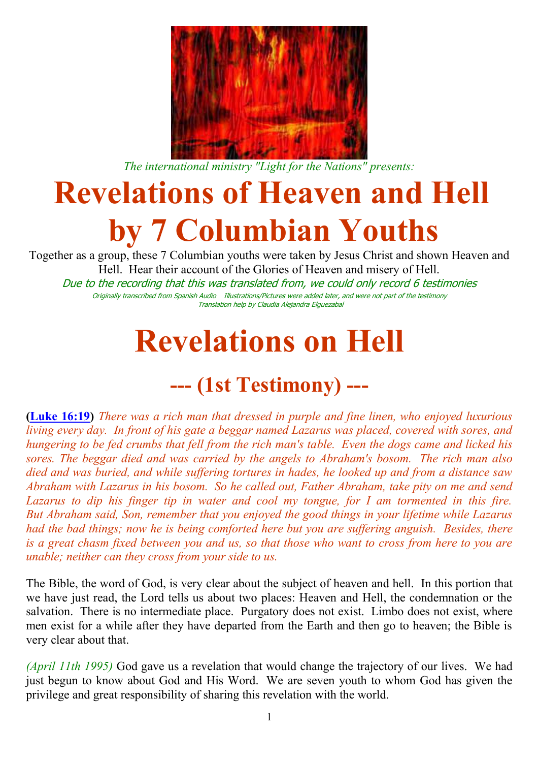

*The international ministry "Light for the Nations" presents:*

# **Revelations of Heaven and Hell by 7 Columbian Youths**

Together as a group, these 7 Columbian youths were taken by Jesus Christ and shown Heaven and Hell. Hear their account of the Glories of Heaven and misery of Hell. Due to the recording that this was translated from, we could only record 6 testimonies Originally transcribed from Spanish Audio Illustrations/Pictures were added later, and were not part of the testimony Translation help by Claudia Alejandra Elguezabal

# **Revelations on Hell**

### **--- (1st Testimony) ---**

**[\(Luke 16:19\)](http://www.biblegateway.com/passage/?search=Luke%2016:19;&version=31)** *There was a rich man that dressed in purple and fine linen, who enjoyed luxurious living every day. In front of his gate a beggar named Lazarus was placed, covered with sores, and hungering to be fed crumbs that fell from the rich man's table. Even the dogs came and licked his sores. The beggar died and was carried by the angels to Abraham's bosom. The rich man also died and was buried, and while suffering tortures in hades, he looked up and from a distance saw Abraham with Lazarus in his bosom. So he called out, Father Abraham, take pity on me and send Lazarus to dip his finger tip in water and cool my tongue, for I am tormented in this fire. But Abraham said, Son, remember that you enjoyed the good things in your lifetime while Lazarus had the bad things; now he is being comforted here but you are suffering anguish. Besides, there is a great chasm fixed between you and us, so that those who want to cross from here to you are unable; neither can they cross from your side to us.*

The Bible, the word of God, is very clear about the subject of heaven and hell. In this portion that we have just read, the Lord tells us about two places: Heaven and Hell, the condemnation or the salvation. There is no intermediate place. Purgatory does not exist. Limbo does not exist, where men exist for a while after they have departed from the Earth and then go to heaven; the Bible is very clear about that.

*(April 11th 1995)* God gave us a revelation that would change the trajectory of our lives. We had just begun to know about God and His Word. We are seven youth to whom God has given the privilege and great responsibility of sharing this revelation with the world.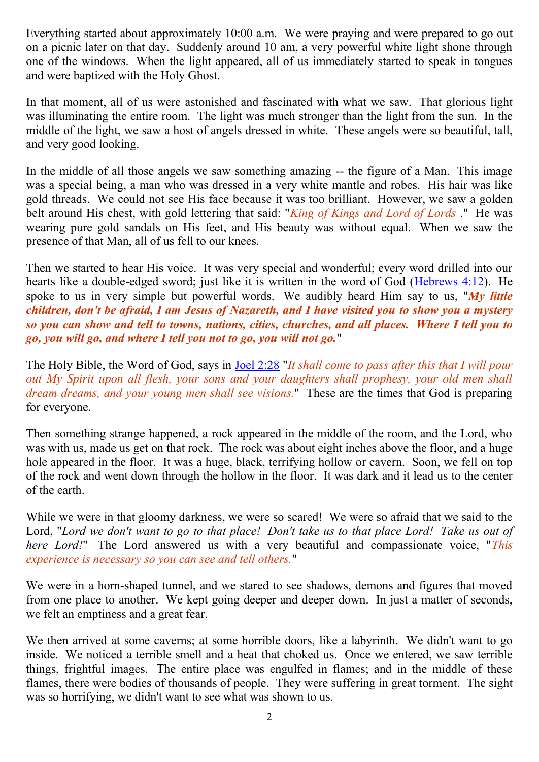Everything started about approximately 10:00 a.m. We were praying and were prepared to go out on a picnic later on that day. Suddenly around 10 am, a very powerful white light shone through one of the windows. When the light appeared, all of us immediately started to speak in tongues and were baptized with the Holy Ghost.

In that moment, all of us were astonished and fascinated with what we saw. That glorious light was illuminating the entire room. The light was much stronger than the light from the sun. In the middle of the light, we saw a host of angels dressed in white. These angels were so beautiful, tall, and very good looking.

In the middle of all those angels we saw something amazing -- the figure of a Man. This image was a special being, a man who was dressed in a very white mantle and robes. His hair was like gold threads. We could not see His face because it was too brilliant. However, we saw a golden belt around His chest, with gold lettering that said: "*King of Kings and Lord of Lords* ." He was wearing pure gold sandals on His feet, and His beauty was without equal. When we saw the presence of that Man, all of us fell to our knees.

Then we started to hear His voice. It was very special and wonderful; every word drilled into our hearts like a double-edged sword; just like it is written in the word of God [\(Hebrews 4:12\)](http://www.biblegateway.com/passage/?search=Hebrews%204:12;&version=31). He spoke to us in very simple but powerful words. We audibly heard Him say to us, "*My little children, don't be afraid, I am Jesus of Nazareth, and I have visited you to show you a mystery so you can show and tell to towns, nations, cities, churches, and all places. Where I tell you to go, you will go, and where I tell you not to go, you will not go.*"

The Holy Bible, the Word of God, says in [Joel 2:28](http://www.biblegateway.com/passage/?search=Joel%202:28;&version=31) "*It shall come to pass after this that I will pour out My Spirit upon all flesh, your sons and your daughters shall prophesy, your old men shall dream dreams, and your young men shall see visions.*" These are the times that God is preparing for everyone.

Then something strange happened, a rock appeared in the middle of the room, and the Lord, who was with us, made us get on that rock. The rock was about eight inches above the floor, and a huge hole appeared in the floor. It was a huge, black, terrifying hollow or cavern. Soon, we fell on top of the rock and went down through the hollow in the floor. It was dark and it lead us to the center of the earth.

While we were in that gloomy darkness, we were so scared! We were so afraid that we said to the Lord, "*Lord we don't want to go to that place! Don't take us to that place Lord! Take us out of here Lord!*" The Lord answered us with a very beautiful and compassionate voice, "*This experience is necessary so you can see and tell others.*"

We were in a horn-shaped tunnel, and we stared to see shadows, demons and figures that moved from one place to another. We kept going deeper and deeper down. In just a matter of seconds, we felt an emptiness and a great fear.

We then arrived at some caverns; at some horrible doors, like a labyrinth. We didn't want to go inside. We noticed a terrible smell and a heat that choked us. Once we entered, we saw terrible things, frightful images. The entire place was engulfed in flames; and in the middle of these flames, there were bodies of thousands of people. They were suffering in great torment. The sight was so horrifying, we didn't want to see what was shown to us.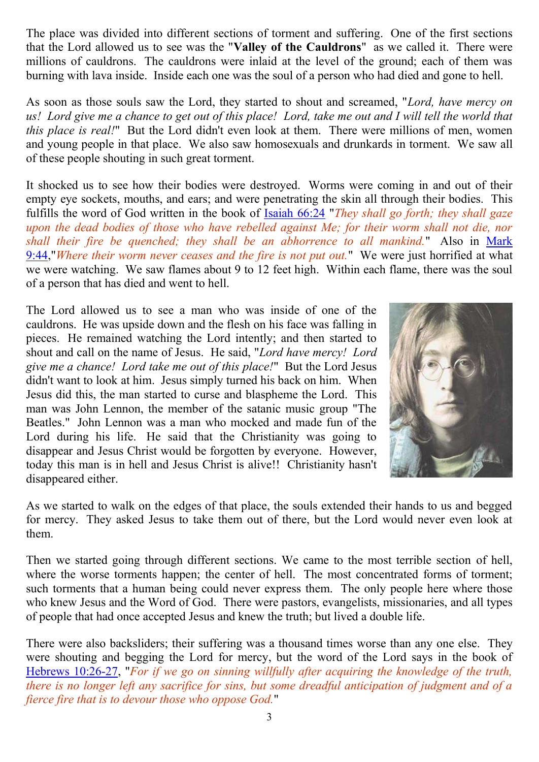The place was divided into different sections of torment and suffering. One of the first sections that the Lord allowed us to see was the "**Valley of the Cauldrons**" as we called it. There were millions of cauldrons. The cauldrons were inlaid at the level of the ground; each of them was burning with lava inside. Inside each one was the soul of a person who had died and gone to hell.

As soon as those souls saw the Lord, they started to shout and screamed, "*Lord, have mercy on us! Lord give me a chance to get out of this place! Lord, take me out and I will tell the world that this place is real!*" But the Lord didn't even look at them. There were millions of men, women and young people in that place. We also saw homosexuals and drunkards in torment. We saw all of these people shouting in such great torment.

It shocked us to see how their bodies were destroyed. Worms were coming in and out of their empty eye sockets, mouths, and ears; and were penetrating the skin all through their bodies. This fulfills the word of God written in the book of [Isaiah 66:24](http://www.biblegateway.com/passage/?search=Isaiah%2066:24;&version=31) "*They shall go forth; they shall gaze upon the dead bodies of those who have rebelled against Me; for their worm shall not die, nor shall their fire be quenched; they shall be an abhorrence to all mankind.*" Also in [Mark](http://www.biblegateway.com/passage/?search=Mark%209:44;&version=31)  [9:44,](http://www.biblegateway.com/passage/?search=Mark%209:44;&version=31)"*Where their worm never ceases and the fire is not put out.*" We were just horrified at what we were watching. We saw flames about 9 to 12 feet high. Within each flame, there was the soul of a person that has died and went to hell.

The Lord allowed us to see a man who was inside of one of the cauldrons. He was upside down and the flesh on his face was falling in pieces. He remained watching the Lord intently; and then started to shout and call on the name of Jesus. He said, "*Lord have mercy! Lord give me a chance! Lord take me out of this place!*" But the Lord Jesus didn't want to look at him. Jesus simply turned his back on him. When Jesus did this, the man started to curse and blaspheme the Lord. This man was John Lennon, the member of the satanic music group "The Beatles." John Lennon was a man who mocked and made fun of the Lord during his life. He said that the Christianity was going to disappear and Jesus Christ would be forgotten by everyone. However, today this man is in hell and Jesus Christ is alive!! Christianity hasn't disappeared either.



As we started to walk on the edges of that place, the souls extended their hands to us and begged for mercy. They asked Jesus to take them out of there, but the Lord would never even look at them.

Then we started going through different sections. We came to the most terrible section of hell, where the worse torments happen; the center of hell. The most concentrated forms of torment; such torments that a human being could never express them. The only people here where those who knew Jesus and the Word of God. There were pastors, evangelists, missionaries, and all types of people that had once accepted Jesus and knew the truth; but lived a double life.

There were also backsliders; their suffering was a thousand times worse than any one else. They were shouting and begging the Lord for mercy, but the word of the Lord says in the book of [Hebrews 10:26-27,](http://www.biblegateway.com/passage/?search=Hebrews%2010:26-27;&version=31) "*For if we go on sinning willfully after acquiring the knowledge of the truth, there is no longer left any sacrifice for sins, but some dreadful anticipation of judgment and of a fierce fire that is to devour those who oppose God.*"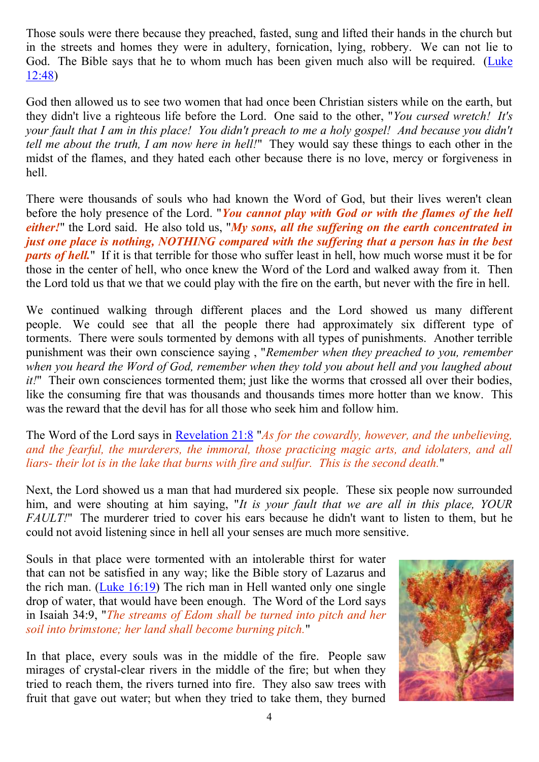Those souls were there because they preached, fasted, sung and lifted their hands in the church but in the streets and homes they were in adultery, fornication, lying, robbery. We can not lie to God. The Bible says that he to whom much has been given much also will be required. [\(Luke](http://www.biblegateway.com/passage/?search=Luke%2012:48;&version=31)  [12:48\)](http://www.biblegateway.com/passage/?search=Luke%2012:48;&version=31)

God then allowed us to see two women that had once been Christian sisters while on the earth, but they didn't live a righteous life before the Lord. One said to the other, "*You cursed wretch! It's your fault that I am in this place! You didn't preach to me a holy gospel! And because you didn't tell me about the truth, I am now here in hell!*" They would say these things to each other in the midst of the flames, and they hated each other because there is no love, mercy or forgiveness in hell.

There were thousands of souls who had known the Word of God, but their lives weren't clean before the holy presence of the Lord. "*You cannot play with God or with the flames of the hell either!*" the Lord said. He also told us, "*My sons, all the suffering on the earth concentrated in just one place is nothing, NOTHING compared with the suffering that a person has in the best parts of hell.*" If it is that terrible for those who suffer least in hell, how much worse must it be for those in the center of hell, who once knew the Word of the Lord and walked away from it. Then the Lord told us that we that we could play with the fire on the earth, but never with the fire in hell.

We continued walking through different places and the Lord showed us many different people. We could see that all the people there had approximately six different type of torments. There were souls tormented by demons with all types of punishments. Another terrible punishment was their own conscience saying , "*Remember when they preached to you, remember when you heard the Word of God, remember when they told you about hell and you laughed about it!*" Their own consciences tormented them; just like the worms that crossed all over their bodies, like the consuming fire that was thousands and thousands times more hotter than we know. This was the reward that the devil has for all those who seek him and follow him.

The Word of the Lord says in [Revelation 21:8](http://www.biblegateway.com/passage/?search=Revelation%2021:8;&version=31) "*As for the cowardly, however, and the unbelieving, and the fearful, the murderers, the immoral, those practicing magic arts, and idolaters, and all liars- their lot is in the lake that burns with fire and sulfur. This is the second death.*"

Next, the Lord showed us a man that had murdered six people. These six people now surrounded him, and were shouting at him saying, "*It is your fault that we are all in this place, YOUR FAULT!*" The murderer tried to cover his ears because he didn't want to listen to them, but he could not avoid listening since in hell all your senses are much more sensitive.

Souls in that place were tormented with an intolerable thirst for water that can not be satisfied in any way; like the Bible story of Lazarus and the rich man. [\(Luke 16:19\)](http://www.biblegateway.com/passage/?search=Luke%2016:19;&version=31) The rich man in Hell wanted only one single drop of water, that would have been enough. The Word of the Lord says in Isaiah 34:9, "*The streams of Edom shall be turned into pitch and her soil into brimstone; her land shall become burning pitch.*"

In that place, every souls was in the middle of the fire. People saw mirages of crystal-clear rivers in the middle of the fire; but when they tried to reach them, the rivers turned into fire. They also saw trees with fruit that gave out water; but when they tried to take them, they burned

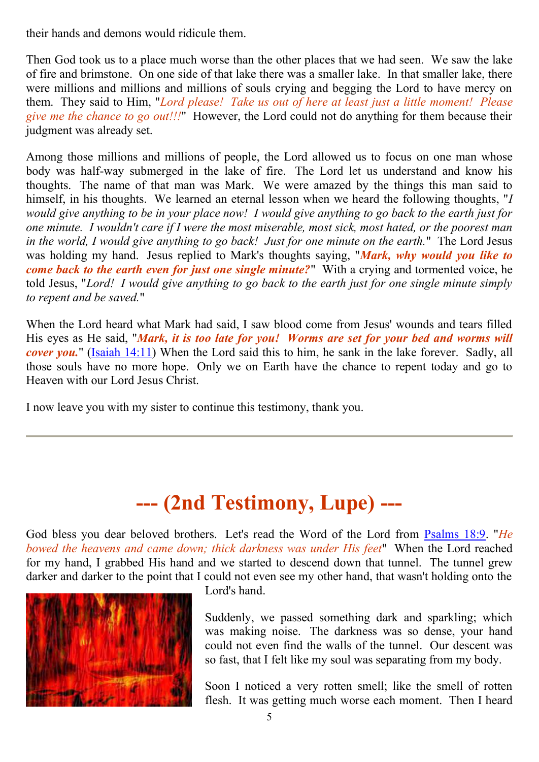their hands and demons would ridicule them.

Then God took us to a place much worse than the other places that we had seen. We saw the lake of fire and brimstone. On one side of that lake there was a smaller lake. In that smaller lake, there were millions and millions and millions of souls crying and begging the Lord to have mercy on them. They said to Him, "*Lord please! Take us out of here at least just a little moment! Please give me the chance to go out!!!*" However, the Lord could not do anything for them because their judgment was already set.

Among those millions and millions of people, the Lord allowed us to focus on one man whose body was half-way submerged in the lake of fire. The Lord let us understand and know his thoughts. The name of that man was Mark. We were amazed by the things this man said to himself, in his thoughts. We learned an eternal lesson when we heard the following thoughts, "*I would give anything to be in your place now! I would give anything to go back to the earth just for one minute. I wouldn't care if I were the most miserable, most sick, most hated, or the poorest man in the world, I would give anything to go back! Just for one minute on the earth.*" The Lord Jesus was holding my hand. Jesus replied to Mark's thoughts saying, "*Mark, why would you like to come back to the earth even for just one single minute?*" With a crying and tormented voice, he told Jesus, "*Lord! I would give anything to go back to the earth just for one single minute simply to repent and be saved.*"

When the Lord heard what Mark had said, I saw blood come from Jesus' wounds and tears filled His eyes as He said, "*Mark, it is too late for you! Worms are set for your bed and worms will cover you.*" [\(Isaiah 14:11\)](http://www.biblegateway.com/passage/?search=Isaiah%2014:11;&version=31) When the Lord said this to him, he sank in the lake forever. Sadly, all those souls have no more hope. Only we on Earth have the chance to repent today and go to Heaven with our Lord Jesus Christ.

I now leave you with my sister to continue this testimony, thank you.

# **--- (2nd Testimony, Lupe) ---**

God bless you dear beloved brothers. Let's read the Word of the Lord from [Psalms 18:9.](http://www.biblegateway.com/passage/?search=Psalms%2018:9;&version=31) "*He bowed the heavens and came down; thick darkness was under His feet*" When the Lord reached for my hand, I grabbed His hand and we started to descend down that tunnel. The tunnel grew darker and darker to the point that I could not even see my other hand, that wasn't holding onto the



Lord's hand.

Suddenly, we passed something dark and sparkling; which was making noise. The darkness was so dense, your hand could not even find the walls of the tunnel. Our descent was so fast, that I felt like my soul was separating from my body.

Soon I noticed a very rotten smell; like the smell of rotten flesh. It was getting much worse each moment. Then I heard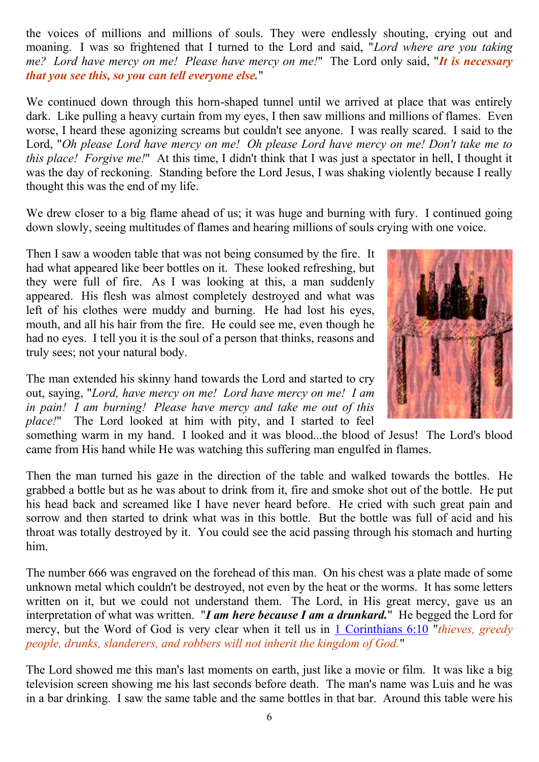the voices of millions and millions of souls. They were endlessly shouting, crying out and moaning. I was so frightened that I turned to the Lord and said, "*Lord where are you taking me? Lord have mercy on me! Please have mercy on me!*" The Lord only said, "*It is necessary that you see this, so you can tell everyone else.*"

We continued down through this horn-shaped tunnel until we arrived at place that was entirely dark. Like pulling a heavy curtain from my eyes, I then saw millions and millions of flames. Even worse, I heard these agonizing screams but couldn't see anyone. I was really scared. I said to the Lord, "*Oh please Lord have mercy on me! Oh please Lord have mercy on me! Don't take me to this place! Forgive me!*" At this time, I didn't think that I was just a spectator in hell, I thought it was the day of reckoning. Standing before the Lord Jesus, I was shaking violently because I really thought this was the end of my life.

We drew closer to a big flame ahead of us; it was huge and burning with fury. I continued going down slowly, seeing multitudes of flames and hearing millions of souls crying with one voice.

Then I saw a wooden table that was not being consumed by the fire. It had what appeared like beer bottles on it. These looked refreshing, but they were full of fire. As I was looking at this, a man suddenly appeared. His flesh was almost completely destroyed and what was left of his clothes were muddy and burning. He had lost his eyes, mouth, and all his hair from the fire. He could see me, even though he had no eyes. I tell you it is the soul of a person that thinks, reasons and truly sees; not your natural body.

The man extended his skinny hand towards the Lord and started to cry out, saying, "*Lord, have mercy on me! Lord have mercy on me! I am in pain! I am burning! Please have mercy and take me out of this place!*" The Lord looked at him with pity, and I started to feel



something warm in my hand. I looked and it was blood...the blood of Jesus! The Lord's blood came from His hand while He was watching this suffering man engulfed in flames.

Then the man turned his gaze in the direction of the table and walked towards the bottles. He grabbed a bottle but as he was about to drink from it, fire and smoke shot out of the bottle. He put his head back and screamed like I have never heard before. He cried with such great pain and sorrow and then started to drink what was in this bottle. But the bottle was full of acid and his throat was totally destroyed by it. You could see the acid passing through his stomach and hurting him.

The number 666 was engraved on the forehead of this man. On his chest was a plate made of some unknown metal which couldn't be destroyed, not even by the heat or the worms. It has some letters written on it, but we could not understand them. The Lord, in His great mercy, gave us an interpretation of what was written. "*I am here because I am a drunkard.*" He begged the Lord for mercy, but the Word of God is very clear when it tell us in [1 Corinthians 6:10](http://www.biblegateway.com/passage/?search=1%20Corinthians%206:10;&version=31) "*thieves, greedy people, drunks, slanderers, and robbers will not inherit the kingdom of God.*"

The Lord showed me this man's last moments on earth, just like a movie or film. It was like a big television screen showing me his last seconds before death. The man's name was Luis and he was in a bar drinking. I saw the same table and the same bottles in that bar. Around this table were his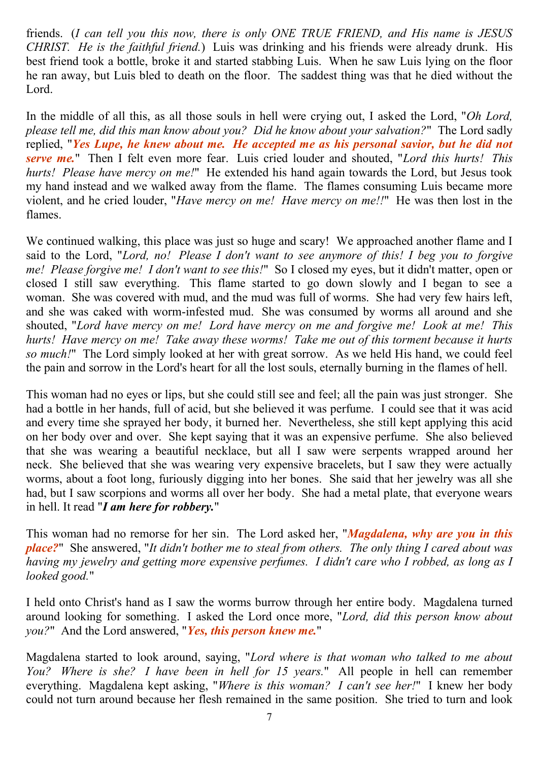friends. (*I can tell you this now, there is only ONE TRUE FRIEND, and His name is JESUS CHRIST. He is the faithful friend.*) Luis was drinking and his friends were already drunk. His best friend took a bottle, broke it and started stabbing Luis. When he saw Luis lying on the floor he ran away, but Luis bled to death on the floor. The saddest thing was that he died without the Lord.

In the middle of all this, as all those souls in hell were crying out, I asked the Lord, "*Oh Lord, please tell me, did this man know about you? Did he know about your salvation?*" The Lord sadly replied, "*Yes Lupe, he knew about me. He accepted me as his personal savior, but he did not serve me.*" Then I felt even more fear. Luis cried louder and shouted, "*Lord this hurts! This hurts! Please have mercy on me!*" He extended his hand again towards the Lord, but Jesus took my hand instead and we walked away from the flame. The flames consuming Luis became more violent, and he cried louder, "*Have mercy on me! Have mercy on me!!*" He was then lost in the flames.

We continued walking, this place was just so huge and scary! We approached another flame and I said to the Lord, "*Lord, no! Please I don't want to see anymore of this! I beg you to forgive me! Please forgive me! I don't want to see this!*" So I closed my eyes, but it didn't matter, open or closed I still saw everything. This flame started to go down slowly and I began to see a woman. She was covered with mud, and the mud was full of worms. She had very few hairs left, and she was caked with worm-infested mud. She was consumed by worms all around and she shouted, "*Lord have mercy on me! Lord have mercy on me and forgive me! Look at me! This hurts! Have mercy on me! Take away these worms! Take me out of this torment because it hurts so much!*" The Lord simply looked at her with great sorrow. As we held His hand, we could feel the pain and sorrow in the Lord's heart for all the lost souls, eternally burning in the flames of hell.

This woman had no eyes or lips, but she could still see and feel; all the pain was just stronger. She had a bottle in her hands, full of acid, but she believed it was perfume. I could see that it was acid and every time she sprayed her body, it burned her. Nevertheless, she still kept applying this acid on her body over and over. She kept saying that it was an expensive perfume. She also believed that she was wearing a beautiful necklace, but all I saw were serpents wrapped around her neck. She believed that she was wearing very expensive bracelets, but I saw they were actually worms, about a foot long, furiously digging into her bones. She said that her jewelry was all she had, but I saw scorpions and worms all over her body. She had a metal plate, that everyone wears in hell. It read "*I am here for robbery.*"

This woman had no remorse for her sin. The Lord asked her, "*Magdalena, why are you in this place?*" She answered, "*It didn't bother me to steal from others. The only thing I cared about was having my jewelry and getting more expensive perfumes. I didn't care who I robbed, as long as I looked good.*"

I held onto Christ's hand as I saw the worms burrow through her entire body. Magdalena turned around looking for something. I asked the Lord once more, "*Lord, did this person know about you?*" And the Lord answered, "*Yes, this person knew me.*"

Magdalena started to look around, saying, "*Lord where is that woman who talked to me about You? Where is she? I have been in hell for 15 years.*" All people in hell can remember everything. Magdalena kept asking, "*Where is this woman? I can't see her!*" I knew her body could not turn around because her flesh remained in the same position. She tried to turn and look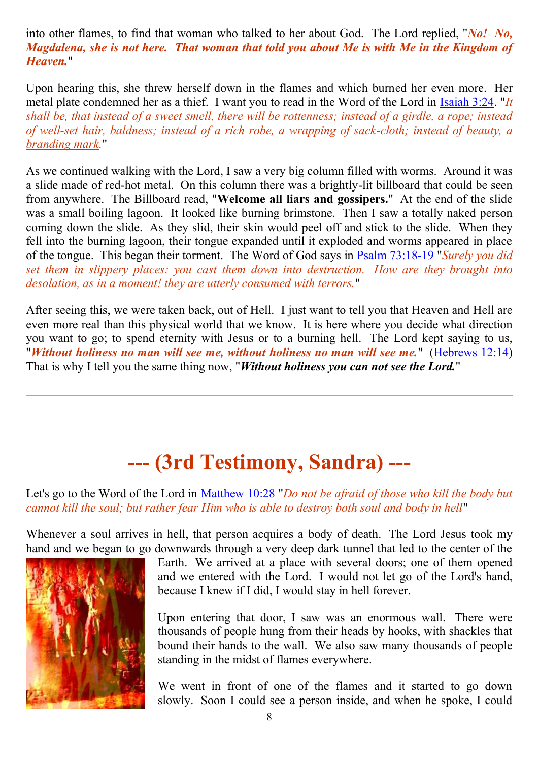into other flames, to find that woman who talked to her about God. The Lord replied, "*No! No, Magdalena, she is not here. That woman that told you about Me is with Me in the Kingdom of Heaven.*"

Upon hearing this, she threw herself down in the flames and which burned her even more. Her metal plate condemned her as a thief. I want you to read in the Word of the Lord in [Isaiah 3:24.](http://www.biblegateway.com/passage/?search=Isaiah%203:24;&version=31) "*It shall be, that instead of a sweet smell, there will be rottenness; instead of a girdle, a rope; instead of well-set hair, baldness; instead of a rich robe, a wrapping of sack-cloth; instead of beauty, a branding mark.*"

As we continued walking with the Lord, I saw a very big column filled with worms. Around it was a slide made of red-hot metal. On this column there was a brightly-lit billboard that could be seen from anywhere. The Billboard read, "**Welcome all liars and gossipers.**" At the end of the slide was a small boiling lagoon. It looked like burning brimstone. Then I saw a totally naked person coming down the slide. As they slid, their skin would peel off and stick to the slide. When they fell into the burning lagoon, their tongue expanded until it exploded and worms appeared in place of the tongue. This began their torment. The Word of God says in [Psalm 73:18-19](http://www.biblegateway.com/passage/?search=Psalm%2073:18-19;&version=31) "*Surely you did set them in slippery places: you cast them down into destruction. How are they brought into desolation, as in a moment! they are utterly consumed with terrors.*"

After seeing this, we were taken back, out of Hell. I just want to tell you that Heaven and Hell are even more real than this physical world that we know. It is here where you decide what direction you want to go; to spend eternity with Jesus or to a burning hell. The Lord kept saying to us, "*Without holiness no man will see me, without holiness no man will see me.*" [\(Hebrews 12:14\)](http://www.biblegateway.com/passage/?search=Hebrews%2012:14;&version=31) That is why I tell you the same thing now, "*Without holiness you can not see the Lord.*"

# **--- (3rd Testimony, Sandra) ---**

Let's go to the Word of the Lord in [Matthew 10:28](http://www.biblegateway.com/passage/?search=Matthew%2010:28;&version=31) "*Do not be afraid of those who kill the body but cannot kill the soul; but rather fear Him who is able to destroy both soul and body in hell*"

Whenever a soul arrives in hell, that person acquires a body of death. The Lord Jesus took my hand and we began to go downwards through a very deep dark tunnel that led to the center of the



Earth. We arrived at a place with several doors; one of them opened and we entered with the Lord. I would not let go of the Lord's hand, because I knew if I did, I would stay in hell forever.

Upon entering that door, I saw was an enormous wall. There were thousands of people hung from their heads by hooks, with shackles that bound their hands to the wall. We also saw many thousands of people standing in the midst of flames everywhere.

We went in front of one of the flames and it started to go down slowly. Soon I could see a person inside, and when he spoke, I could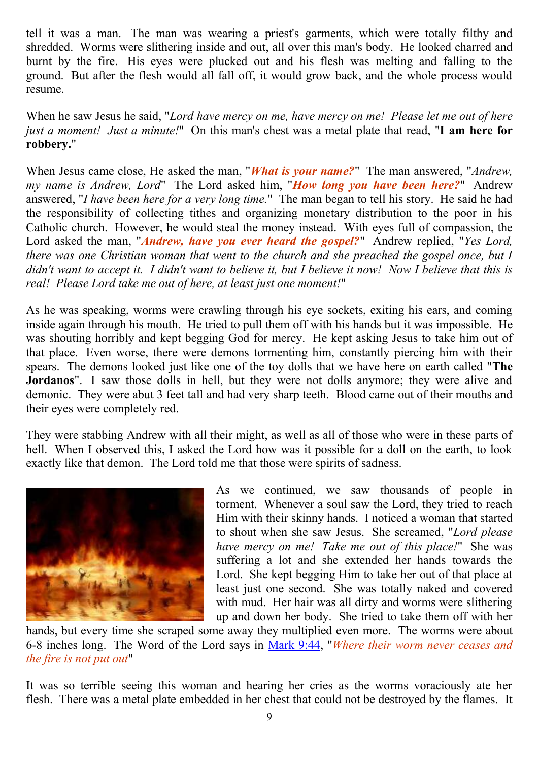tell it was a man. The man was wearing a priest's garments, which were totally filthy and shredded. Worms were slithering inside and out, all over this man's body. He looked charred and burnt by the fire. His eyes were plucked out and his flesh was melting and falling to the ground. But after the flesh would all fall off, it would grow back, and the whole process would resume.

When he saw Jesus he said, "*Lord have mercy on me, have mercy on me! Please let me out of here just a moment! Just a minute!*" On this man's chest was a metal plate that read, "**I am here for robbery.**"

When Jesus came close, He asked the man, "*What is your name?*" The man answered, "*Andrew, my name is Andrew, Lord*" The Lord asked him, "*How long you have been here?*" Andrew answered, "*I have been here for a very long time.*" The man began to tell his story. He said he had the responsibility of collecting tithes and organizing monetary distribution to the poor in his Catholic church. However, he would steal the money instead. With eyes full of compassion, the Lord asked the man, "*Andrew, have you ever heard the gospel?*" Andrew replied, "*Yes Lord, there was one Christian woman that went to the church and she preached the gospel once, but I didn't want to accept it. I didn't want to believe it, but I believe it now! Now I believe that this is real! Please Lord take me out of here, at least just one moment!*"

As he was speaking, worms were crawling through his eye sockets, exiting his ears, and coming inside again through his mouth. He tried to pull them off with his hands but it was impossible. He was shouting horribly and kept begging God for mercy. He kept asking Jesus to take him out of that place. Even worse, there were demons tormenting him, constantly piercing him with their spears. The demons looked just like one of the toy dolls that we have here on earth called "**The Jordanos**". I saw those dolls in hell, but they were not dolls anymore; they were alive and demonic. They were abut 3 feet tall and had very sharp teeth. Blood came out of their mouths and their eyes were completely red.

They were stabbing Andrew with all their might, as well as all of those who were in these parts of hell. When I observed this, I asked the Lord how was it possible for a doll on the earth, to look exactly like that demon. The Lord told me that those were spirits of sadness.



As we continued, we saw thousands of people in torment. Whenever a soul saw the Lord, they tried to reach Him with their skinny hands. I noticed a woman that started to shout when she saw Jesus. She screamed, "*Lord please have mercy on me! Take me out of this place!*" She was suffering a lot and she extended her hands towards the Lord. She kept begging Him to take her out of that place at least just one second. She was totally naked and covered with mud. Her hair was all dirty and worms were slithering up and down her body. She tried to take them off with her

hands, but every time she scraped some away they multiplied even more. The worms were about 6-8 inches long. The Word of the Lord says in [Mark 9:44,](http://www.biblegateway.com/passage/?search=Mark%209:44;&version=31) "*Where their worm never ceases and the fire is not put out*"

It was so terrible seeing this woman and hearing her cries as the worms voraciously ate her flesh. There was a metal plate embedded in her chest that could not be destroyed by the flames. It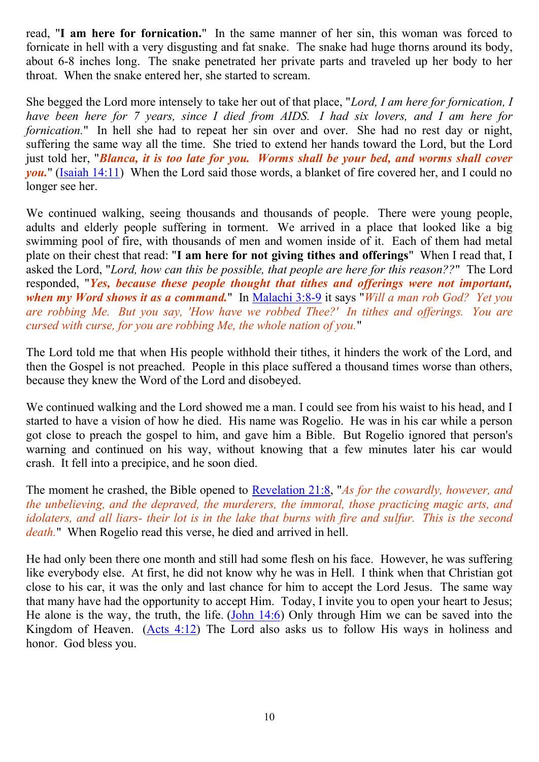read, "**I am here for fornication.**" In the same manner of her sin, this woman was forced to fornicate in hell with a very disgusting and fat snake. The snake had huge thorns around its body, about 6-8 inches long. The snake penetrated her private parts and traveled up her body to her throat. When the snake entered her, she started to scream.

She begged the Lord more intensely to take her out of that place, "*Lord, I am here for fornication, I have been here for 7 years, since I died from AIDS. I had six lovers, and I am here for fornication.*" In hell she had to repeat her sin over and over. She had no rest day or night, suffering the same way all the time. She tried to extend her hands toward the Lord, but the Lord just told her, "*Blanca, it is too late for you. Worms shall be your bed, and worms shall cover you.*" [\(Isaiah 14:11\)](http://www.biblegateway.com/passage/?search=Isaiah%2014:11;&version=31) When the Lord said those words, a blanket of fire covered her, and I could no longer see her.

We continued walking, seeing thousands and thousands of people. There were young people, adults and elderly people suffering in torment. We arrived in a place that looked like a big swimming pool of fire, with thousands of men and women inside of it. Each of them had metal plate on their chest that read: "**I am here for not giving tithes and offerings**" When I read that, I asked the Lord, "*Lord, how can this be possible, that people are here for this reason??*" The Lord responded, "*Yes, because these people thought that tithes and offerings were not important, when my Word shows it as a command.*" In [Malachi 3:8-9](http://www.biblegateway.com/passage/?search=Malachi%203:8-9;&version=31) it says "*Will a man rob God? Yet you are robbing Me. But you say, 'How have we robbed Thee?' In tithes and offerings. You are cursed with curse, for you are robbing Me, the whole nation of you.*"

The Lord told me that when His people withhold their tithes, it hinders the work of the Lord, and then the Gospel is not preached. People in this place suffered a thousand times worse than others, because they knew the Word of the Lord and disobeyed.

We continued walking and the Lord showed me a man. I could see from his waist to his head, and I started to have a vision of how he died. His name was Rogelio. He was in his car while a person got close to preach the gospel to him, and gave him a Bible. But Rogelio ignored that person's warning and continued on his way, without knowing that a few minutes later his car would crash. It fell into a precipice, and he soon died.

The moment he crashed, the Bible opened to [Revelation 21:8,](http://www.biblegateway.com/passage/?search=Revelation%2021:8;&version=31) "*As for the cowardly, however, and the unbelieving, and the depraved, the murderers, the immoral, those practicing magic arts, and idolaters, and all liars- their lot is in the lake that burns with fire and sulfur. This is the second death.*" When Rogelio read this verse, he died and arrived in hell.

He had only been there one month and still had some flesh on his face. However, he was suffering like everybody else. At first, he did not know why he was in Hell. I think when that Christian got close to his car, it was the only and last chance for him to accept the Lord Jesus. The same way that many have had the opportunity to accept Him. Today, I invite you to open your heart to Jesus; He alone is the way, the truth, the life. [\(John 14:6\)](http://www.biblegateway.com/passage/?search=John%2014:6;&version=31) Only through Him we can be saved into the Kingdom of Heaven. [\(Acts 4:12\)](http://www.biblegateway.com/passage/?search=Acts%204:12;&version=31) The Lord also asks us to follow His ways in holiness and honor. God bless you.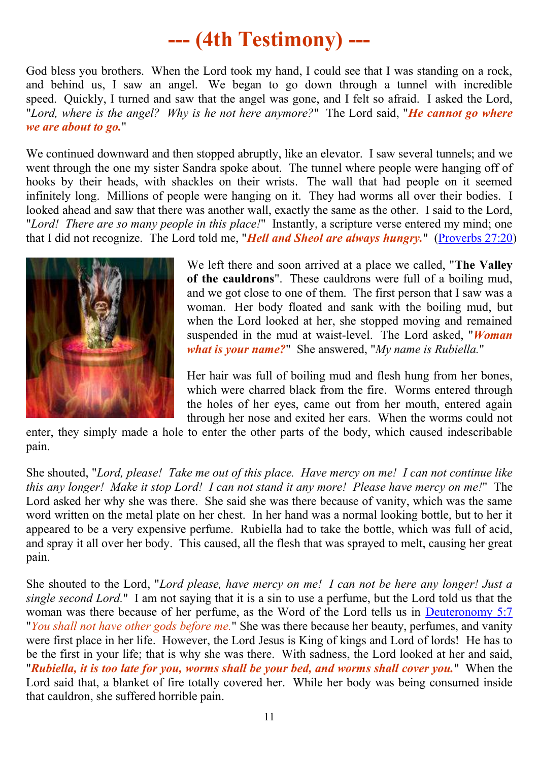# **--- (4th Testimony) ---**

God bless you brothers. When the Lord took my hand, I could see that I was standing on a rock, and behind us, I saw an angel. We began to go down through a tunnel with incredible speed. Quickly, I turned and saw that the angel was gone, and I felt so afraid. I asked the Lord, "*Lord, where is the angel? Why is he not here anymore?*" The Lord said, "*He cannot go where we are about to go.*"

We continued downward and then stopped abruptly, like an elevator. I saw several tunnels; and we went through the one my sister Sandra spoke about. The tunnel where people were hanging off of hooks by their heads, with shackles on their wrists. The wall that had people on it seemed infinitely long. Millions of people were hanging on it. They had worms all over their bodies. I looked ahead and saw that there was another wall, exactly the same as the other. I said to the Lord, "*Lord! There are so many people in this place!*" Instantly, a scripture verse entered my mind; one that I did not recognize. The Lord told me, "*Hell and Sheol are always hungry.*" [\(Proverbs 27:20\)](http://www.biblegateway.com/passage/?search=Proverbs%2027:20;&version=31)



We left there and soon arrived at a place we called, "**The Valley of the cauldrons**". These cauldrons were full of a boiling mud, and we got close to one of them. The first person that I saw was a woman. Her body floated and sank with the boiling mud, but when the Lord looked at her, she stopped moving and remained suspended in the mud at waist-level. The Lord asked, "*Woman what is your name?*" She answered, "*My name is Rubiella.*"

Her hair was full of boiling mud and flesh hung from her bones, which were charred black from the fire. Worms entered through the holes of her eyes, came out from her mouth, entered again through her nose and exited her ears. When the worms could not

enter, they simply made a hole to enter the other parts of the body, which caused indescribable pain.

She shouted, "*Lord, please! Take me out of this place. Have mercy on me! I can not continue like this any longer! Make it stop Lord! I can not stand it any more! Please have mercy on me!*" The Lord asked her why she was there. She said she was there because of vanity, which was the same word written on the metal plate on her chest. In her hand was a normal looking bottle, but to her it appeared to be a very expensive perfume. Rubiella had to take the bottle, which was full of acid, and spray it all over her body. This caused, all the flesh that was sprayed to melt, causing her great pain.

She shouted to the Lord, "*Lord please, have mercy on me! I can not be here any longer! Just a single second Lord.*" I am not saying that it is a sin to use a perfume, but the Lord told us that the woman was there because of her perfume, as the Word of the Lord tells us in [Deuteronomy 5:7](http://www.biblegateway.com/passage/?search=Deuteronomy%205:7;&version=31) "*You shall not have other gods before me.*" She was there because her beauty, perfumes, and vanity were first place in her life. However, the Lord Jesus is King of kings and Lord of lords! He has to be the first in your life; that is why she was there. With sadness, the Lord looked at her and said, "*Rubiella, it is too late for you, worms shall be your bed, and worms shall cover you.*" When the Lord said that, a blanket of fire totally covered her. While her body was being consumed inside that cauldron, she suffered horrible pain.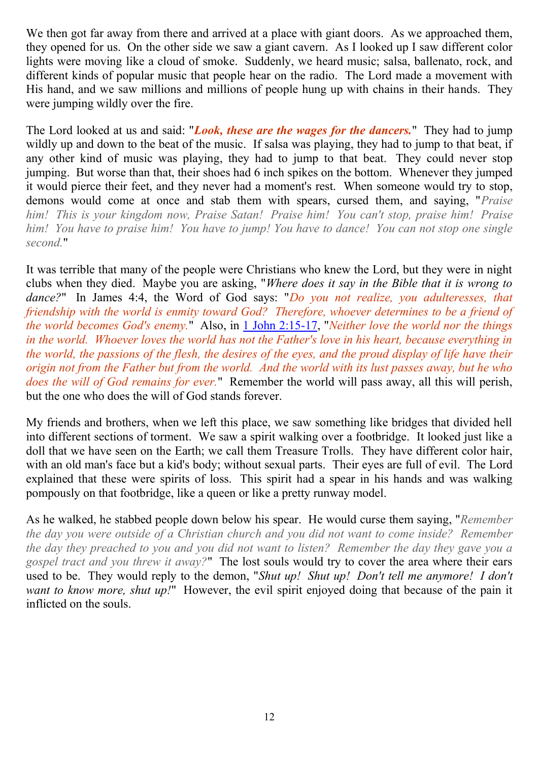We then got far away from there and arrived at a place with giant doors. As we approached them, they opened for us. On the other side we saw a giant cavern. As I looked up I saw different color lights were moving like a cloud of smoke. Suddenly, we heard music; salsa, ballenato, rock, and different kinds of popular music that people hear on the radio. The Lord made a movement with His hand, and we saw millions and millions of people hung up with chains in their hands. They were jumping wildly over the fire.

The Lord looked at us and said: "*Look, these are the wages for the dancers.*" They had to jump wildly up and down to the beat of the music. If salsa was playing, they had to jump to that beat, if any other kind of music was playing, they had to jump to that beat. They could never stop jumping. But worse than that, their shoes had 6 inch spikes on the bottom. Whenever they jumped it would pierce their feet, and they never had a moment's rest. When someone would try to stop, demons would come at once and stab them with spears, cursed them, and saying, "*Praise him! This is your kingdom now, Praise Satan! Praise him! You can't stop, praise him! Praise him! You have to praise him! You have to jump! You have to dance! You can not stop one single second.*"

It was terrible that many of the people were Christians who knew the Lord, but they were in night clubs when they died. Maybe you are asking, "*Where does it say in the Bible that it is wrong to dance?*" In James 4:4, the Word of God says: "*Do you not realize, you adulteresses, that friendship with the world is enmity toward God? Therefore, whoever determines to be a friend of the world becomes God's enemy.*" Also, in [1 John 2:15-17,](http://www.biblegateway.com/passage/?search=1%20John%202:15-17;&version=31) "*Neither love the world nor the things in the world. Whoever loves the world has not the Father's love in his heart, because everything in the world, the passions of the flesh, the desires of the eyes, and the proud display of life have their origin not from the Father but from the world. And the world with its lust passes away, but he who does the will of God remains for ever.*" Remember the world will pass away, all this will perish, but the one who does the will of God stands forever.

My friends and brothers, when we left this place, we saw something like bridges that divided hell into different sections of torment. We saw a spirit walking over a footbridge. It looked just like a doll that we have seen on the Earth; we call them Treasure Trolls. They have different color hair, with an old man's face but a kid's body; without sexual parts. Their eyes are full of evil. The Lord explained that these were spirits of loss. This spirit had a spear in his hands and was walking pompously on that footbridge, like a queen or like a pretty runway model.

As he walked, he stabbed people down below his spear. He would curse them saying, "*Remember the day you were outside of a Christian church and you did not want to come inside? Remember the day they preached to you and you did not want to listen? Remember the day they gave you a gospel tract and you threw it away?*" The lost souls would try to cover the area where their ears used to be. They would reply to the demon, "*Shut up! Shut up! Don't tell me anymore! I don't want to know more, shut up!*" However, the evil spirit enjoyed doing that because of the pain it inflicted on the souls.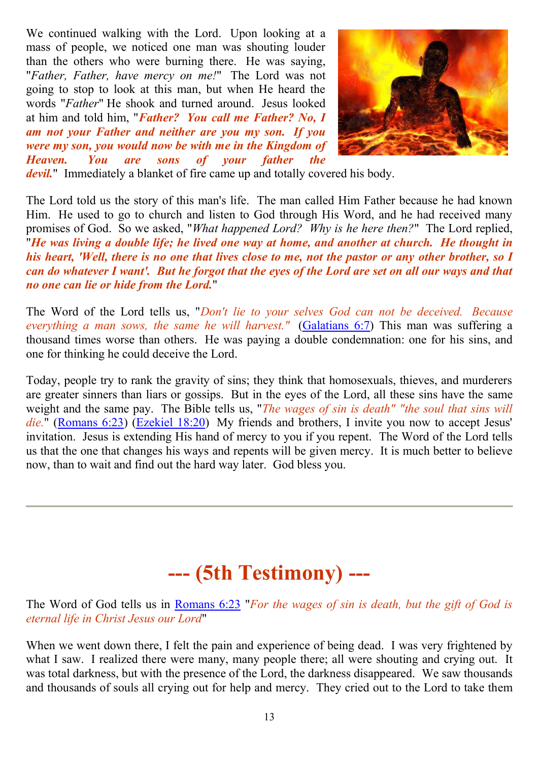We continued walking with the Lord. Upon looking at a mass of people, we noticed one man was shouting louder than the others who were burning there. He was saying, "*Father, Father, have mercy on me!*" The Lord was not going to stop to look at this man, but when He heard the words "*Father*" He shook and turned around. Jesus looked at him and told him, "*Father? You call me Father? No, I am not your Father and neither are you my son. If you were my son, you would now be with me in the Kingdom of Heaven. You are sons of your father the* 



*devil.*" Immediately a blanket of fire came up and totally covered his body.

The Lord told us the story of this man's life. The man called Him Father because he had known Him. He used to go to church and listen to God through His Word, and he had received many promises of God. So we asked, "*What happened Lord? Why is he here then?*" The Lord replied, "*He was living a double life; he lived one way at home, and another at church. He thought in his heart, 'Well, there is no one that lives close to me, not the pastor or any other brother, so I can do whatever I want'. But he forgot that the eyes of the Lord are set on all our ways and that no one can lie or hide from the Lord.*"

The Word of the Lord tells us, "*Don't lie to your selves God can not be deceived. Because everything a man sows, the same he will harvest."* [\(Galatians 6:7\)](http://www.biblegateway.com/passage/?search=Galatians%206:7;&version=31) This man was suffering a thousand times worse than others. He was paying a double condemnation: one for his sins, and one for thinking he could deceive the Lord.

Today, people try to rank the gravity of sins; they think that homosexuals, thieves, and murderers are greater sinners than liars or gossips. But in the eyes of the Lord, all these sins have the same weight and the same pay. The Bible tells us, "*The wages of sin is death" "the soul that sins will die.*" [\(Romans 6:23\)](http://www.biblegateway.com/passage/?search=Romans%206:23;&version=31) [\(Ezekiel 18:20\)](http://www.biblegateway.com/passage/?search=Ezekiel%2018:20;&version=31) My friends and brothers, I invite you now to accept Jesus' invitation. Jesus is extending His hand of mercy to you if you repent. The Word of the Lord tells us that the one that changes his ways and repents will be given mercy. It is much better to believe now, than to wait and find out the hard way later. God bless you.

# **--- (5th Testimony) ---**

The Word of God tells us in [Romans 6:23](http://www.biblegateway.com/passage/?search=Romans%206:23;&version=31) "*For the wages of sin is death, but the gift of God is eternal life in Christ Jesus our Lord*"

When we went down there, I felt the pain and experience of being dead. I was very frightened by what I saw. I realized there were many, many people there; all were shouting and crying out. It was total darkness, but with the presence of the Lord, the darkness disappeared. We saw thousands and thousands of souls all crying out for help and mercy. They cried out to the Lord to take them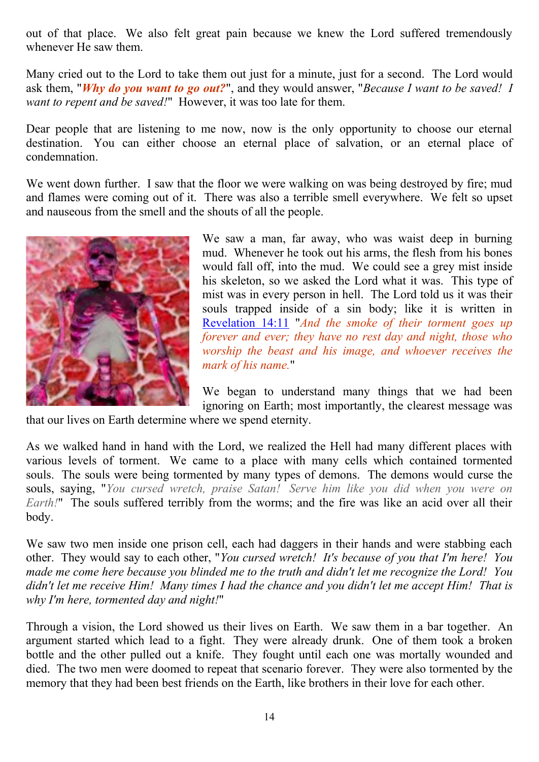out of that place. We also felt great pain because we knew the Lord suffered tremendously whenever He saw them.

Many cried out to the Lord to take them out just for a minute, just for a second. The Lord would ask them, "*Why do you want to go out?*", and they would answer, "*Because I want to be saved! I want to repent and be saved!*" However, it was too late for them.

Dear people that are listening to me now, now is the only opportunity to choose our eternal destination. You can either choose an eternal place of salvation, or an eternal place of condemnation.

We went down further. I saw that the floor we were walking on was being destroyed by fire; mud and flames were coming out of it. There was also a terrible smell everywhere. We felt so upset and nauseous from the smell and the shouts of all the people.

![](_page_13_Picture_4.jpeg)

We saw a man, far away, who was waist deep in burning mud. Whenever he took out his arms, the flesh from his bones would fall off, into the mud. We could see a grey mist inside his skeleton, so we asked the Lord what it was. This type of mist was in every person in hell. The Lord told us it was their souls trapped inside of a sin body; like it is written in [Revelation 14:11](http://www.biblegateway.com/passage/?search=Revelation%2014:11;&version=31) "*And the smoke of their torment goes up forever and ever; they have no rest day and night, those who worship the beast and his image, and whoever receives the mark of his name.*"

We began to understand many things that we had been ignoring on Earth; most importantly, the clearest message was

that our lives on Earth determine where we spend eternity.

As we walked hand in hand with the Lord, we realized the Hell had many different places with various levels of torment. We came to a place with many cells which contained tormented souls. The souls were being tormented by many types of demons. The demons would curse the souls, saying, "*You cursed wretch, praise Satan! Serve him like you did when you were on Earth!*" The souls suffered terribly from the worms; and the fire was like an acid over all their body.

We saw two men inside one prison cell, each had daggers in their hands and were stabbing each other. They would say to each other, "*You cursed wretch! It's because of you that I'm here! You made me come here because you blinded me to the truth and didn't let me recognize the Lord! You didn't let me receive Him! Many times I had the chance and you didn't let me accept Him! That is why I'm here, tormented day and night!*"

Through a vision, the Lord showed us their lives on Earth. We saw them in a bar together. An argument started which lead to a fight. They were already drunk. One of them took a broken bottle and the other pulled out a knife. They fought until each one was mortally wounded and died. The two men were doomed to repeat that scenario forever. They were also tormented by the memory that they had been best friends on the Earth, like brothers in their love for each other.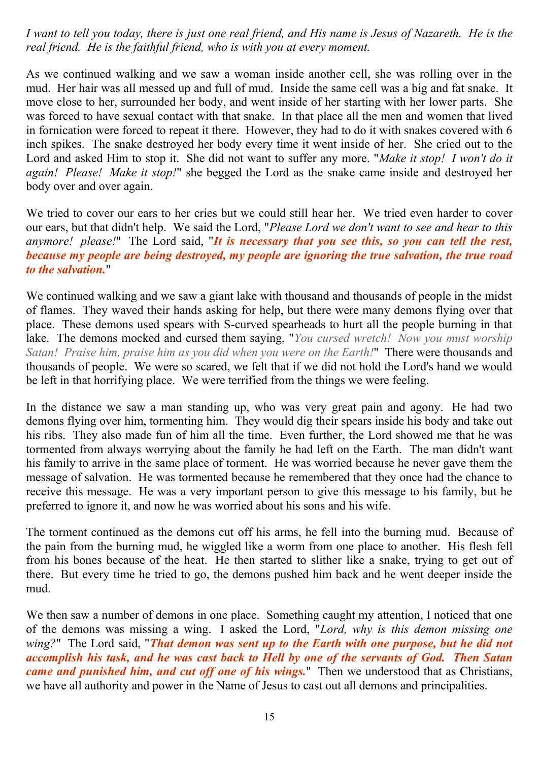*I want to tell you today, there is just one real friend, and His name is Jesus of Nazareth. He is the real friend. He is the faithful friend, who is with you at every moment.*

As we continued walking and we saw a woman inside another cell, she was rolling over in the mud. Her hair was all messed up and full of mud. Inside the same cell was a big and fat snake. It move close to her, surrounded her body, and went inside of her starting with her lower parts. She was forced to have sexual contact with that snake. In that place all the men and women that lived in fornication were forced to repeat it there. However, they had to do it with snakes covered with 6 inch spikes. The snake destroyed her body every time it went inside of her. She cried out to the Lord and asked Him to stop it. She did not want to suffer any more. "*Make it stop! I won't do it again! Please! Make it stop!*" she begged the Lord as the snake came inside and destroyed her body over and over again.

We tried to cover our ears to her cries but we could still hear her. We tried even harder to cover our ears, but that didn't help. We said the Lord, "*Please Lord we don't want to see and hear to this anymore! please!*" The Lord said, "*It is necessary that you see this, so you can tell the rest, because my people are being destroyed, my people are ignoring the true salvation, the true road to the salvation.*"

We continued walking and we saw a giant lake with thousand and thousands of people in the midst of flames. They waved their hands asking for help, but there were many demons flying over that place. These demons used spears with S-curved spearheads to hurt all the people burning in that lake. The demons mocked and cursed them saying, "*You cursed wretch! Now you must worship Satan! Praise him, praise him as you did when you were on the Earth!*" There were thousands and thousands of people. We were so scared, we felt that if we did not hold the Lord's hand we would be left in that horrifying place. We were terrified from the things we were feeling.

In the distance we saw a man standing up, who was very great pain and agony. He had two demons flying over him, tormenting him. They would dig their spears inside his body and take out his ribs. They also made fun of him all the time. Even further, the Lord showed me that he was tormented from always worrying about the family he had left on the Earth. The man didn't want his family to arrive in the same place of torment. He was worried because he never gave them the message of salvation. He was tormented because he remembered that they once had the chance to receive this message. He was a very important person to give this message to his family, but he preferred to ignore it, and now he was worried about his sons and his wife.

The torment continued as the demons cut off his arms, he fell into the burning mud. Because of the pain from the burning mud, he wiggled like a worm from one place to another. His flesh fell from his bones because of the heat. He then started to slither like a snake, trying to get out of there. But every time he tried to go, the demons pushed him back and he went deeper inside the mud.

We then saw a number of demons in one place. Something caught my attention, I noticed that one of the demons was missing a wing. I asked the Lord, "*Lord, why is this demon missing one wing?*" The Lord said, "*That demon was sent up to the Earth with one purpose, but he did not accomplish his task, and he was cast back to Hell by one of the servants of God. Then Satan came and punished him, and cut off one of his wings.*" Then we understood that as Christians, we have all authority and power in the Name of Jesus to cast out all demons and principalities.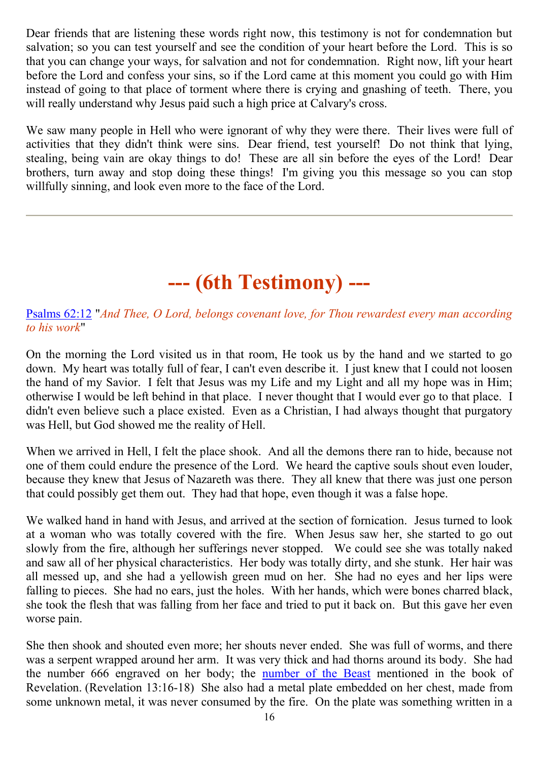Dear friends that are listening these words right now, this testimony is not for condemnation but salvation; so you can test yourself and see the condition of your heart before the Lord. This is so that you can change your ways, for salvation and not for condemnation. Right now, lift your heart before the Lord and confess your sins, so if the Lord came at this moment you could go with Him instead of going to that place of torment where there is crying and gnashing of teeth. There, you will really understand why Jesus paid such a high price at Calvary's cross.

We saw many people in Hell who were ignorant of why they were there. Their lives were full of activities that they didn't think were sins. Dear friend, test yourself! Do not think that lying, stealing, being vain are okay things to do! These are all sin before the eyes of the Lord! Dear brothers, turn away and stop doing these things! I'm giving you this message so you can stop willfully sinning, and look even more to the face of the Lord.

## **--- (6th Testimony) ---**

#### [Psalms 62:12](http://www.biblegateway.com/passage/?search=Psalms%2062:12;&version=31) "*And Thee, O Lord, belongs covenant love, for Thou rewardest every man according to his work*"

On the morning the Lord visited us in that room, He took us by the hand and we started to go down. My heart was totally full of fear, I can't even describe it. I just knew that I could not loosen the hand of my Savior. I felt that Jesus was my Life and my Light and all my hope was in Him; otherwise I would be left behind in that place. I never thought that I would ever go to that place. I didn't even believe such a place existed. Even as a Christian, I had always thought that purgatory was Hell, but God showed me the reality of Hell.

When we arrived in Hell, I felt the place shook. And all the demons there ran to hide, because not one of them could endure the presence of the Lord. We heard the captive souls shout even louder, because they knew that Jesus of Nazareth was there. They all knew that there was just one person that could possibly get them out. They had that hope, even though it was a false hope.

We walked hand in hand with Jesus, and arrived at the section of fornication. Jesus turned to look at a woman who was totally covered with the fire. When Jesus saw her, she started to go out slowly from the fire, although her sufferings never stopped. We could see she was totally naked and saw all of her physical characteristics. Her body was totally dirty, and she stunk. Her hair was all messed up, and she had a yellowish green mud on her. She had no eyes and her lips were falling to pieces. She had no ears, just the holes. With her hands, which were bones charred black, she took the flesh that was falling from her face and tried to put it back on. But this gave her even worse pain.

She then shook and shouted even more; her shouts never ended. She was full of worms, and there was a serpent wrapped around her arm. It was very thick and had thorns around its body. She had the number 666 engraved on her body; the [number of the Beast](../Mark_of_the_Beast/Mark_of_the_Beast_666.htm) mentioned in the book of Revelation. (Revelation 13:16-18) She also had a metal plate embedded on her chest, made from some unknown metal, it was never consumed by the fire. On the plate was something written in a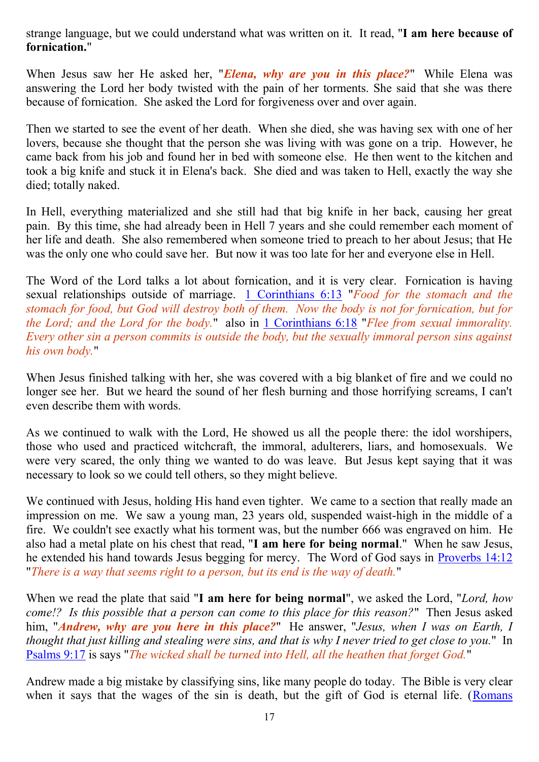strange language, but we could understand what was written on it. It read, "**I am here because of fornication.**"

When Jesus saw her He asked her, "*Elena, why are you in this place?*" While Elena was answering the Lord her body twisted with the pain of her torments. She said that she was there because of fornication. She asked the Lord for forgiveness over and over again.

Then we started to see the event of her death. When she died, she was having sex with one of her lovers, because she thought that the person she was living with was gone on a trip. However, he came back from his job and found her in bed with someone else. He then went to the kitchen and took a big knife and stuck it in Elena's back. She died and was taken to Hell, exactly the way she died; totally naked.

In Hell, everything materialized and she still had that big knife in her back, causing her great pain. By this time, she had already been in Hell 7 years and she could remember each moment of her life and death. She also remembered when someone tried to preach to her about Jesus; that He was the only one who could save her. But now it was too late for her and everyone else in Hell.

The Word of the Lord talks a lot about fornication, and it is very clear. Fornication is having sexual relationships outside of marriage. [1 Corinthians 6:13](http://www.biblegateway.com/passage/?search=1%20Corinthians%206:13;&version=31) "*Food for the stomach and the stomach for food, but God will destroy both of them. Now the body is not for fornication, but for the Lord; and the Lord for the body.*" also in [1 Corinthians 6:18](http://www.biblegateway.com/passage/?search=1%20Corinthians%206:18;&version=31) "*Flee from sexual immorality. Every other sin a person commits is outside the body, but the sexually immoral person sins against his own body.*"

When Jesus finished talking with her, she was covered with a big blanket of fire and we could no longer see her. But we heard the sound of her flesh burning and those horrifying screams, I can't even describe them with words.

As we continued to walk with the Lord, He showed us all the people there: the idol worshipers, those who used and practiced witchcraft, the immoral, adulterers, liars, and homosexuals. We were very scared, the only thing we wanted to do was leave. But Jesus kept saying that it was necessary to look so we could tell others, so they might believe.

We continued with Jesus, holding His hand even tighter. We came to a section that really made an impression on me. We saw a young man, 23 years old, suspended waist-high in the middle of a fire. We couldn't see exactly what his torment was, but the number 666 was engraved on him. He also had a metal plate on his chest that read, "**I am here for being normal**." When he saw Jesus, he extended his hand towards Jesus begging for mercy. The Word of God says in [Proverbs 14:12](http://www.biblegateway.com/passage/?search=Proverbs%2014:12;&version=31) "*There is a way that seems right to a person, but its end is the way of death.*"

When we read the plate that said "**I am here for being normal**", we asked the Lord, "*Lord, how come!? Is this possible that a person can come to this place for this reason?*" Then Jesus asked him, "*Andrew, why are you here in this place?*" He answer, "*Jesus, when I was on Earth, I thought that just killing and stealing were sins, and that is why I never tried to get close to you.*" In [Psalms 9:17](http://www.biblegateway.com/passage/?search=Psalms%209:17;&version=31) is says "*The wicked shall be turned into Hell, all the heathen that forget God.*"

Andrew made a big mistake by classifying sins, like many people do today. The Bible is very clear when it says that the wages of the sin is death, but the gift of God is eternal life. (Romans